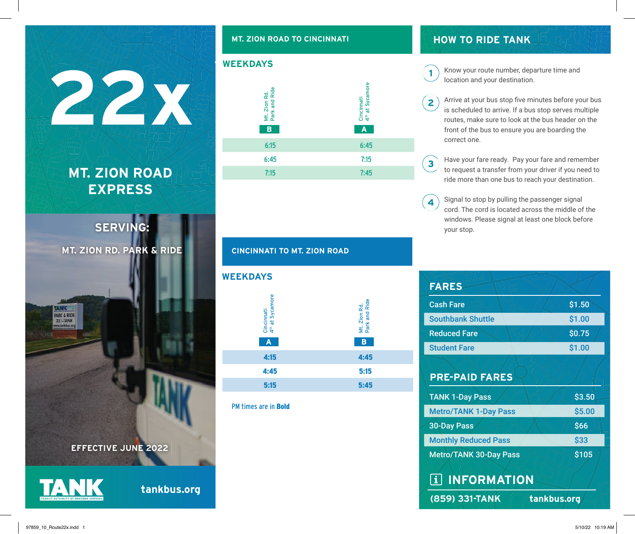## **MT. ZION ROAD EXPRESS**

**22x**

**SERVING: MT. ZION RD. PARK & RIDE**

### **EFFECTIVE JUNE 2022**

**PARK & RIDE** 331-TANK

**tankbus.org**

#### **MT. ZION ROAD TO CINCINNATI**





#### **CINCINNATI TO MT. ZION ROAD**



PM times are in Bold

## **HOW TO RIDE TANK**

 $\mathbf{1}$ 

Know your route number, departure time and location and your destination.

- Arrive at your bus stop five minutes before your bus  $\overline{2}$ is scheduled to arrive. If a bus stop serves multiple routes, make sure to look at the bus header on the front of the bus to ensure you are boarding the correct one.
- Have your fare ready. Pay your fare and remember  $\overline{\mathbf{3}}$ to request a transfer from your driver if you need to ride more than one bus to reach your destination.
- Signal to stop by pulling the passenger signal 4 cord. The cord is located across the middle of the windows. Please signal at least one block before your stop.

| <b>FARES</b>                  |             |
|-------------------------------|-------------|
| <b>Cash Fare</b>              | \$1.50      |
| <b>Southbank Shuttle</b>      | \$1.00      |
| <b>Reduced Fare</b>           | \$0.75      |
| <b>Student Fare</b>           | \$1.00      |
| <b>PRE-PAID FARES</b>         |             |
| <b>TANK 1-Day Pass</b>        | \$3.50      |
| <b>Metro/TANK 1-Day Pass</b>  | \$5.00      |
| <b>30-Day Pass</b>            | \$66        |
| <b>Monthly Reduced Pass</b>   | \$33        |
| <b>Metro/TANK 30-Day Pass</b> | \$105       |
| <b>I INFORMATION</b>          |             |
| (859) 331-TANK                | tankbus.org |